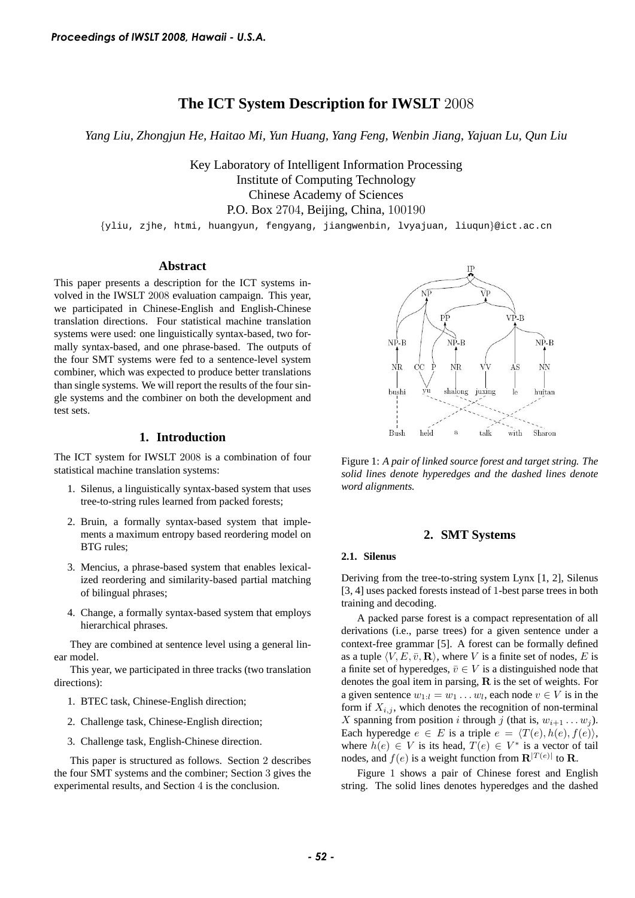# **The ICT System Description for IWSLT** 2008

*Yang Liu, Zhongjun He, Haitao Mi, Yun Huang, Yang Feng, Wenbin Jiang, Yajuan Lu, Qun Liu*

Key Laboratory of Intelligent Information Processing Institute of Computing Technology Chinese Academy of Sciences P.O. Box 2704, Beijing, China, 100190

{yliu, zjhe, htmi, huangyun, fengyang, jiangwenbin, lvyajuan, liuqun}@ict.ac.cn

#### **Abstract**

This paper presents a description for the ICT systems involved in the IWSLT 2008 evaluation campaign. This year, we participated in Chinese-English and English-Chinese translation directions. Four statistical machine translation systems were used: one linguistically syntax-based, two formally syntax-based, and one phrase-based. The outputs of the four SMT systems were fed to a sentence-level system combiner, which was expected to produce better translations than single systems. We will report the results of the four single systems and the combiner on both the development and test sets. *Froceedings of IWSLT 2008, Hawaii - U.S.A.*<br> **The LCT System Description Fig. 72 -** *Proceedings of Indice Mi, Yan Huang* **:<br>** *Key Labortory of Inditive Of Computer* **101. The mass of the mass of the mass of the mass of the** 

# **1. Introduction**

The ICT system for IWSLT 2008 is a combination of four statistical machine translation systems:

- 1. Silenus, a linguistically syntax-based system that uses tree-to-string rules learned from packed forests;
- 2. Bruin, a formally syntax-based system that implements a maximum entropy based reordering model on BTG rules;
- 3. Mencius, a phrase-based system that enables lexicalized reordering and similarity-based partial matching of bilingual phrases;
- 4. Change, a formally syntax-based system that employs hierarchical phrases.

They are combined at sentence level using a general linear model.

This year, we participated in three tracks (two translation directions):

- 1. BTEC task, Chinese-English direction;
- 2. Challenge task, Chinese-English direction;
- 3. Challenge task, English-Chinese direction.

This paper is structured as follows. Section 2 describes the four SMT systems and the combiner; Section 3 gives the experimental results, and Section 4 is the conclusion.



Figure 1: *A pair of linked source forest and target string. The solid lines denote hyperedges and the dashed lines denote word alignments.*

### **2. SMT Systems**

### **2.1. Silenus**

Deriving from the tree-to-string system Lynx [1, 2], Silenus [3, 4] uses packed forests instead of 1-best parse trees in both training and decoding.

A packed parse forest is a compact representation of all derivations (i.e., parse trees) for a given sentence under a context-free grammar [5]. A forest can be formally defined as a tuple  $\langle V, E, \bar{v}, \mathbf{R} \rangle$ , where V is a finite set of nodes, E is a finite set of hyperedges,  $\bar{v} \in V$  is a distinguished node that denotes the goal item in parsing, R is the set of weights. For a given sentence  $w_{1:l} = w_1 \dots w_l$ , each node  $v \in V$  is in the form if  $X_{i,j}$ , which denotes the recognition of non-terminal X spanning from position i through j (that is,  $w_{i+1} \ldots w_j$ ). Each hyperedge  $e \in E$  is a triple  $e = \langle T(e), h(e), f(e) \rangle$ , where  $h(e) \in V$  is its head,  $T(e) \in V^*$  is a vector of tail nodes, and  $f(e)$  is a weight function from  $\mathbf{R}^{|T(e)|}$  to  $\mathbf{R}$ .

Figure 1 shows a pair of Chinese forest and English string. The solid lines denotes hyperedges and the dashed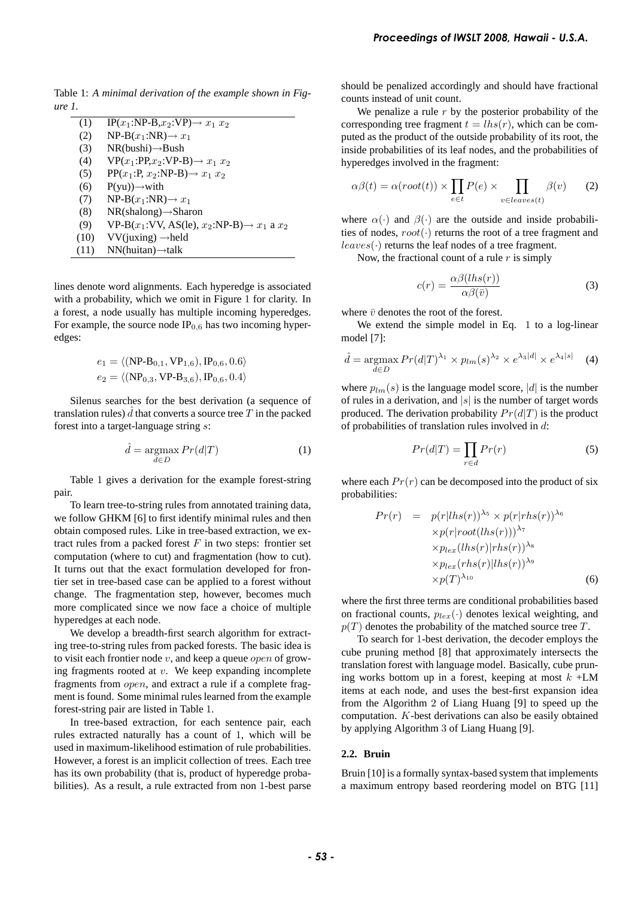Table 1: *A minimal derivation of the example shown in Figure 1.*

| (1)  | $IP(x_1:NP-B,x_2:VP) \rightarrow x_1 x_2$                |
|------|----------------------------------------------------------|
| (2)  | $NP-B(x_1:NR) \rightarrow x_1$                           |
| (3)  | $NR(bushi) \rightarrow Bush$                             |
| (4)  | $VP(x_1:PP,x_2:VP-B) \rightarrow x_1 x_2$                |
| (5)  | $PP(x_1:P, x_2:NP-B) \rightarrow x_1 x_2$                |
| (6)  | $P(yu) \rightarrow$ with                                 |
| (7)  | $NP-B(x_1:NR) \rightarrow x_1$                           |
| (8)  | $NR(shalong) \rightarrow Sharon$                         |
| (9)  | $VP-B(x_1:VV, AS(le), x_2:NP-B) \rightarrow x_1$ a $x_2$ |
| (10) | $VV$ (juxing) $\rightarrow$ held                         |
| (11) | $NN(huitan) \rightarrow$ talk                            |

lines denote word alignments. Each hyperedge is associated with a probability, which we omit in Figure 1 for clarity. In a forest, a node usually has multiple incoming hyperedges. For example, the source node  $IP<sub>0.6</sub>$  has two incoming hyperedges:

$$
e_1 = \langle (NP-B_{0,1}, VP_{1,6}), IP_{0,6}, 0.6 \rangle
$$
  

$$
e_2 = \langle (NP_{0,3}, VP-B_{3,6}), IP_{0,6}, 0.4 \rangle
$$

Silenus searches for the best derivation (a sequence of translation rules)  $\hat{d}$  that converts a source tree T in the packed forest into a target-language string s:

$$
\hat{d} = \underset{d \in D}{\operatorname{argmax}} Pr(d|T) \tag{1}
$$

Table 1 gives a derivation for the example forest-string pair.

To learn tree-to-string rules from annotated training data, we follow GHKM [6] to first identify minimal rules and then obtain composed rules. Like in tree-based extraction, we extract rules from a packed forest  $F$  in two steps: frontier set computation (where to cut) and fragmentation (how to cut). It turns out that the exact formulation developed for frontier set in tree-based case can be applied to a forest without change. The fragmentation step, however, becomes much more complicated since we now face a choice of multiple hyperedges at each node.

We develop a breadth-first search algorithm for extracting tree-to-string rules from packed forests. The basic idea is to visit each frontier node  $v$ , and keep a queue *open* of growing fragments rooted at  $v$ . We keep expanding incomplete fragments from open, and extract a rule if a complete fragment is found. Some minimal rules learned from the example forest-string pair are listed in Table 1.

In tree-based extraction, for each sentence pair, each rules extracted naturally has a count of 1, which will be used in maximum-likelihood estimation of rule probabilities. However, a forest is an implicit collection of trees. Each tree has its own probability (that is, product of hyperedge probabilities). As a result, a rule extracted from non 1-best parse

should be penalized accordingly and should have fractional counts instead of unit count.

We penalize a rule  $r$  by the posterior probability of the corresponding tree fragment  $t = lhs(r)$ , which can be computed as the product of the outside probability of its root, the inside probabilities of its leaf nodes, and the probabilities of hyperedges involved in the fragment:

$$
\alpha \beta(t) = \alpha(root(t)) \times \prod_{e \in t} P(e) \times \prod_{v \in leaves(t)} \beta(v) \qquad (2)
$$

where  $\alpha(\cdot)$  and  $\beta(\cdot)$  are the outside and inside probabilities of nodes,  $root(\cdot)$  returns the root of a tree fragment and  $leaves(\cdot)$  returns the leaf nodes of a tree fragment.

Now, the fractional count of a rule  $r$  is simply

$$
c(r) = \frac{\alpha \beta(lhs(r))}{\alpha \beta(\bar{v})}
$$
 (3)

where  $\bar{v}$  denotes the root of the forest.

We extend the simple model in Eq. 1 to a log-linear model [7]:

$$
\hat{d} = \underset{d \in D}{\operatorname{argmax}} Pr(d|T)^{\lambda_1} \times p_{lm}(s)^{\lambda_2} \times e^{\lambda_3 |d|} \times e^{\lambda_4 |s|} \tag{4}
$$

where  $p_{lm}(s)$  is the language model score, |d| is the number of rules in a derivation, and  $|s|$  is the number of target words produced. The derivation probability  $Pr(d|T)$  is the product of probabilities of translation rules involved in d:

$$
Pr(d|T) = \prod_{r \in d} Pr(r)
$$
 (5)

where each  $Pr(r)$  can be decomposed into the product of six probabilities:

$$
Pr(r) = p(r|lhs(r))^{\lambda_5} \times p(r|rhs(r))^{\lambda_6}
$$
  
\n
$$
\times p(r|root(lhs(r)))^{\lambda_7}
$$
  
\n
$$
\times p_{lex}(lhs(r)|rhs(r))^{\lambda_8}
$$
  
\n
$$
\times p_{lex}(rhs(r)|lhs(r))^{\lambda_9}
$$
  
\n
$$
\times p(T)^{\lambda_{10}}
$$
 (6)

where the first three terms are conditional probabilities based on fractional counts,  $p_{lex}(\cdot)$  denotes lexical weighting, and  $p(T)$  denotes the probability of the matched source tree T.

To search for 1-best derivation, the decoder employs the cube pruning method [8] that approximately intersects the translation forest with language model. Basically, cube pruning works bottom up in a forest, keeping at most  $k + LM$ items at each node, and uses the best-first expansion idea from the Algorithm 2 of Liang Huang [9] to speed up the computation. K-best derivations can also be easily obtained by applying Algorithm 3 of Liang Huang [9]. **Froceedings of IWSLT 2008, Hawaii** - **U.S.A.**<br> **Should be penalized accordingly and should have fractions:**<br> **Should be penalized accordingly and should have fractions:**<br> **Should be penalized and proposition** of the base

### **2.2. Bruin**

Bruin [10] is a formally syntax-based system that implements a maximum entropy based reordering model on BTG [11]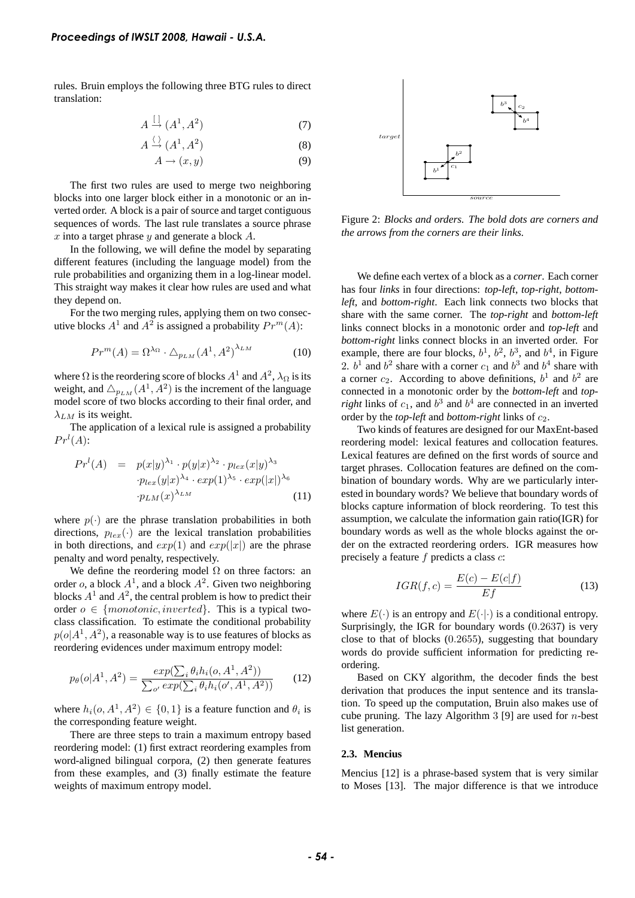rules. Bruin employs the following three BTG rules to direct translation:

$$
A \stackrel{\left[ \cdot \right]}{\rightarrow} (A^1, A^2) \tag{7}
$$

$$
A \stackrel{\langle}{\rightarrow} (A^1, A^2) \tag{8}
$$

$$
A \to (x, y) \tag{9}
$$

The first two rules are used to merge two neighboring blocks into one larger block either in a monotonic or an inverted order. A block is a pair of source and target contiguous sequences of words. The last rule translates a source phrase x into a target phrase y and generate a block  $A$ .

In the following, we will define the model by separating different features (including the language model) from the rule probabilities and organizing them in a log-linear model. This straight way makes it clear how rules are used and what they depend on.

For the two merging rules, applying them on two consecutive blocks  $A^1$  and  $A^2$  is assigned a probability  $Pr^m(A)$ :

$$
Pr^{m}(A) = \Omega^{\lambda_{\Omega}} \cdot \Delta_{p_{LM}}(A^{1}, A^{2})^{\lambda_{LM}} \tag{10}
$$

where  $\Omega$  is the reordering score of blocks  $A^1$  and  $A^2$ ,  $\lambda_{\Omega}$  is its weight, and  $\triangle_{p_{LM}}(A^1, A^2)$  is the increment of the language model score of two blocks according to their final order, and  $\lambda_{LM}$  is its weight.

The application of a lexical rule is assigned a probability  $Pr<sup>l</sup>(A)$ :

$$
Prl(A) = p(x|y)^{\lambda_1} \cdot p(y|x)^{\lambda_2} \cdot p_{lex}(x|y)^{\lambda_3}
$$

$$
\cdot p_{lex}(y|x)^{\lambda_4} \cdot exp(1)^{\lambda_5} \cdot exp(|x|)^{\lambda_6}
$$

$$
\cdot p_{LM}(x)^{\lambda_{LM}} \tag{11}
$$

where  $p(\cdot)$  are the phrase translation probabilities in both directions,  $p_{lex}(\cdot)$  are the lexical translation probabilities in both directions, and  $exp(1)$  and  $exp(|x|)$  are the phrase penalty and word penalty, respectively.

We define the reordering model  $\Omega$  on three factors: an order o, a block  $A^1$ , and a block  $A^2$ . Given two neighboring blocks  $A<sup>1</sup>$  and  $A<sup>2</sup>$ , the central problem is how to predict their order  $o \in \{monotonic, inverted\}$ . This is a typical twoclass classification. To estimate the conditional probability  $p(o|A^1, A^2)$ , a reasonable way is to use features of blocks as reordering evidences under maximum entropy model:  $A \xrightarrow{\Delta} (A', A'')$  (8)<br>
The first two rules are used to merge two neighboring<br>
blocks into one larger block stifter in a monotonic or an in-<br>
verted order. Ablock is a pair of source and three configures of maximum entropy<br> *Froceedings of IWSLT 2008, Hawaii - U.S.A.*<br>
rules. Butin employs the following three BTG rules to direct translation:<br>  $A \xrightarrow{1}(A^1, A^2)$  (7)<br>  $A \xrightarrow{2}(A^1, A^3)$  (8)<br>
The first two rules are used to merge two neighborin

$$
p_{\theta}(o|A^1, A^2) = \frac{exp(\sum_{i} \theta_i h_i(o, A^1, A^2))}{\sum_{o'} exp(\sum_{i} \theta_i h_i(o', A^1, A^2))}
$$
(12)

where  $h_i(o, A^1, A^2) \in \{0, 1\}$  is a feature function and  $\theta_i$  is the corresponding feature weight.

There are three steps to train a maximum entropy based reordering model: (1) first extract reordering examples from word-aligned bilingual corpora, (2) then generate features from these examples, and (3) finally estimate the feature



Figure 2: *Blocks and orders. The bold dots are corners and the arrows from the corners are their links.*

We define each vertex of a block as a *corner*. Each corner has four *links* in four directions: *top-left*, *top-right*, *bottomleft*, and *bottom-right*. Each link connects two blocks that share with the same corner. The *top-right* and *bottom-left* links connect blocks in a monotonic order and *top-left* and *bottom-right* links connect blocks in an inverted order. For example, there are four blocks,  $b^1$ ,  $b^2$ ,  $b^3$ , and  $b^4$ , in Figure 2.  $b^1$  and  $b^2$  share with a corner  $c_1$  and  $b^3$  and  $b^4$  share with a corner  $c_2$ . According to above definitions,  $b^1$  and  $b^2$  are connected in a monotonic order by the *bottom-left* and *topright* links of  $c_1$ , and  $b^3$  and  $b^4$  are connected in an inverted order by the *top-left* and *bottom-right* links of  $c_2$ .

Two kinds of features are designed for our MaxEnt-based reordering model: lexical features and collocation features. Lexical features are defined on the first words of source and target phrases. Collocation features are defined on the combination of boundary words. Why are we particularly interested in boundary words? We believe that boundary words of blocks capture information of block reordering. To test this assumption, we calculate the information gain ratio(IGR) for boundary words as well as the whole blocks against the order on the extracted reordering orders. IGR measures how precisely a feature  $f$  predicts a class  $c$ :

$$
IGR(f, c) = \frac{E(c) - E(c|f)}{Ef}
$$
\n(13)

where  $E(\cdot)$  is an entropy and  $E(\cdot|\cdot)$  is a conditional entropy. Surprisingly, the IGR for boundary words (0.2637) is very close to that of blocks (0.2655), suggesting that boundary words do provide sufficient information for predicting reordering.

Based on CKY algorithm, the decoder finds the best derivation that produces the input sentence and its translation. To speed up the computation, Bruin also makes use of cube pruning. The lazy Algorithm 3 [9] are used for  $n$ -best list generation.

### **2.3. Mencius**

Mencius [12] is a phrase-based system that is very similar to Moses [13]. The major difference is that we introduce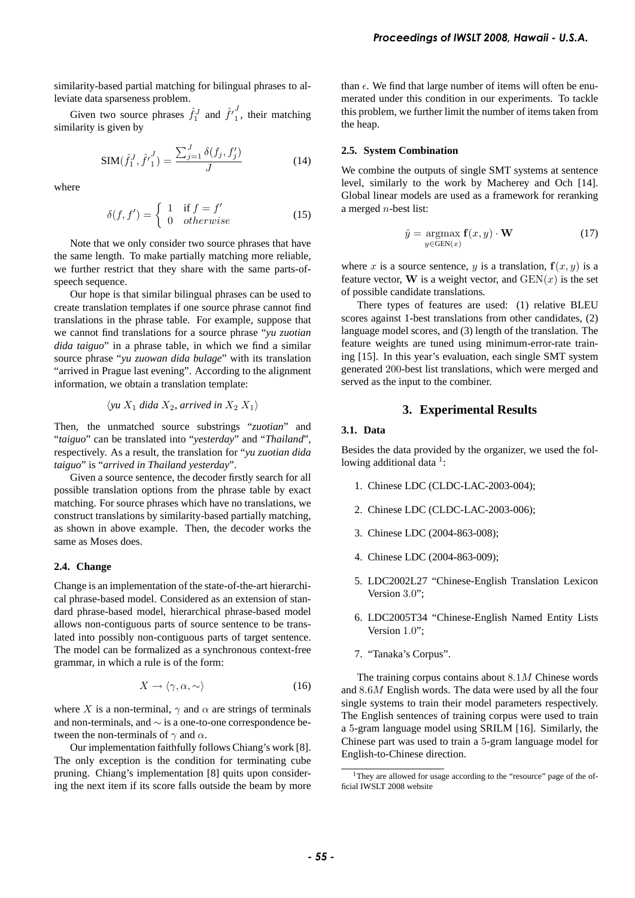similarity-based partial matching for bilingual phrases to alleviate data sparseness problem.

Given two source phrases  $\hat{f}_1^J$  and  $\hat{f'}_1^J$  $i<sub>1</sub>$ , their matching similarity is given by

$$
SIM(\hat{f}_1^J, \hat{f'}_1^J) = \frac{\sum_{j=1}^J \delta(f_j, f'_j)}{J}
$$
 (14)

where

$$
\delta(f, f') = \begin{cases} 1 & \text{if } f = f' \\ 0 & otherwise \end{cases}
$$
 (15)

Note that we only consider two source phrases that have the same length. To make partially matching more reliable, we further restrict that they share with the same parts-ofspeech sequence.

Our hope is that similar bilingual phrases can be used to create translation templates if one source phrase cannot find translations in the phrase table. For example, suppose that we cannot find translations for a source phrase "*yu zuotian dida taiguo*" in a phrase table, in which we find a similar source phrase "*yu zuowan dida bulage*" with its translation "arrived in Prague last evening". According to the alignment information, we obtain a translation template:

$$
\langle yu X_1 \, dida X_2, \, arrived \, in \, X_2 \, X_1 \rangle
$$

Then, the unmatched source substrings "*zuotian*" and "*taiguo*" can be translated into "*yesterday*" and "*Thailand*", respectively. As a result, the translation for "*yu zuotian dida taiguo*" is "*arrived in Thailand yesterday*".

Given a source sentence, the decoder firstly search for all possible translation options from the phrase table by exact matching. For source phrases which have no translations, we construct translations by similarity-based partially matching, as shown in above example. Then, the decoder works the same as Moses does.

# **2.4. Change**

Change is an implementation of the state-of-the-art hierarchical phrase-based model. Considered as an extension of standard phrase-based model, hierarchical phrase-based model allows non-contiguous parts of source sentence to be translated into possibly non-contiguous parts of target sentence. The model can be formalized as a synchronous context-free grammar, in which a rule is of the form:

$$
X \to \langle \gamma, \alpha, \sim \rangle \tag{16}
$$

where X is a non-terminal,  $\gamma$  and  $\alpha$  are strings of terminals and non-terminals, and ∼ is a one-to-one correspondence between the non-terminals of  $\gamma$  and  $\alpha$ .

Our implementation faithfully follows Chiang's work [8]. The only exception is the condition for terminating cube pruning. Chiang's implementation [8] quits upon considering the next item if its score falls outside the beam by more than  $\epsilon$ . We find that large number of items will often be enumerated under this condition in our experiments. To tackle this problem, we further limit the number of items taken from the heap.

#### **2.5. System Combination**

We combine the outputs of single SMT systems at sentence level, similarly to the work by Macherey and Och [14]. Global linear models are used as a framework for reranking a merged n-best list:

$$
\hat{y} = \underset{y \in \text{GEN}(x)}{\text{argmax}} \mathbf{f}(x, y) \cdot \mathbf{W} \tag{17}
$$

where x is a source sentence, y is a translation,  $f(x, y)$  is a feature vector, W is a weight vector, and  $GEN(x)$  is the set of possible candidate translations.

There types of features are used: (1) relative BLEU scores against 1-best translations from other candidates, (2) language model scores, and (3) length of the translation. The feature weights are tuned using minimum-error-rate training [15]. In this year's evaluation, each single SMT system generated 200-best list translations, which were merged and served as the input to the combiner. **Froceedings of IWSLT 2008, Hawaii** - **D.S.A.**<br> **Concerning the U.S. A.**<br> **Concerning the U.S. A.**<br> **Concerning the U.S. A.**<br> **Concerning the U.S. A.**<br> **Concerning the Concernity and the member of items will offer been**<br>

# **3. Experimental Results**

### **3.1. Data**

Besides the data provided by the organizer, we used the following additional data<sup>1</sup>:

- 1. Chinese LDC (CLDC-LAC-2003-004);
- 2. Chinese LDC (CLDC-LAC-2003-006);
- 3. Chinese LDC (2004-863-008);
- 4. Chinese LDC (2004-863-009);
- 5. LDC2002L27 "Chinese-English Translation Lexicon Version 3.0";
- 6. LDC2005T34 "Chinese-English Named Entity Lists Version 1.0";
- 7. "Tanaka's Corpus".

The training corpus contains about 8.1M Chinese words and 8.6M English words. The data were used by all the four single systems to train their model parameters respectively. The English sentences of training corpus were used to train a 5-gram language model using SRILM [16]. Similarly, the Chinese part was used to train a 5-gram language model for English-to-Chinese direction.

<sup>&</sup>lt;sup>1</sup>They are allowed for usage according to the "resource" page of the official IWSLT 2008 website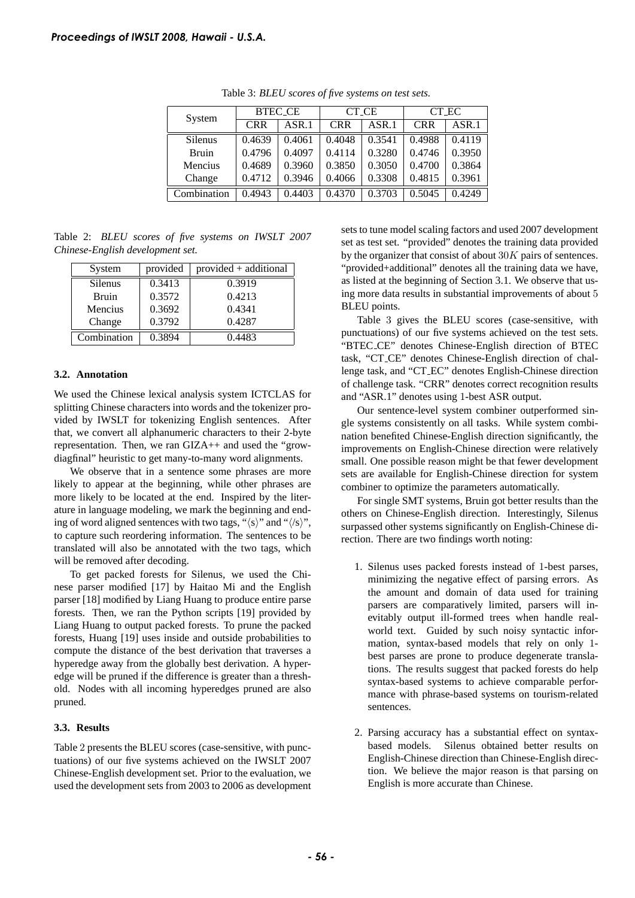| System         | <b>BTEC_CE</b> |        | <b>CT_CE</b> |        | CT_EC      |        |
|----------------|----------------|--------|--------------|--------|------------|--------|
|                | <b>CRR</b>     | ASR.1  | <b>CRR</b>   | ASR.1  | <b>CRR</b> | ASR.1  |
| <b>Silenus</b> | 0.4639         | 0.4061 | 0.4048       | 0.3541 | 0.4988     | 0.4119 |
| <b>Bruin</b>   | 0.4796         | 0.4097 | 0.4114       | 0.3280 | 0.4746     | 0.3950 |
| Mencius        | 0.4689         | 0.3960 | 0.3850       | 0.3050 | 0.4700     | 0.3864 |
| Change         | 0.4712         | 0.3946 | 0.4066       | 0.3308 | 0.4815     | 0.3961 |
| Combination    | 0.4943         | 0.4403 | 0.4370       | 0.3703 | 0.5045     | 0.4249 |

Table 3: *BLEU scores of five systems on test sets.*

Table 2: *BLEU scores of five systems on IWSLT 2007 Chinese-English development set.*

| System       | provided | $provided + additional$ |  |  |
|--------------|----------|-------------------------|--|--|
| Silenus      | 0.3413   | 0.3919                  |  |  |
| <b>Bruin</b> | 0.3572   | 0.4213                  |  |  |
| Mencius      | 0.3692   | 0.4341                  |  |  |
| Change       | 0.3792   | 0.4287                  |  |  |
| Combination  | 0.3894   | 0.4483                  |  |  |

# **3.2. Annotation**

We used the Chinese lexical analysis system ICTCLAS for splitting Chinese characters into words and the tokenizer provided by IWSLT for tokenizing English sentences. After that, we convert all alphanumeric characters to their 2-byte representation. Then, we ran GIZA++ and used the "growdiagfinal" heuristic to get many-to-many word alignments.

We observe that in a sentence some phrases are more likely to appear at the beginning, while other phrases are more likely to be located at the end. Inspired by the literature in language modeling, we mark the beginning and ending of word aligned sentences with two tags, " $\langle s \rangle$ " and " $\langle s \rangle$ ", to capture such reordering information. The sentences to be translated will also be annotated with the two tags, which will be removed after decoding.

To get packed forests for Silenus, we used the Chinese parser modified [17] by Haitao Mi and the English parser [18] modified by Liang Huang to produce entire parse forests. Then, we ran the Python scripts [19] provided by Liang Huang to output packed forests. To prune the packed forests, Huang [19] uses inside and outside probabilities to compute the distance of the best derivation that traverses a hyperedge away from the globally best derivation. A hyperedge will be pruned if the difference is greater than a threshold. Nodes with all incoming hyperedges pruned are also pruned. **Froceedings of IWSLT 2008, Hawaii - U.S.A.**<br>
Table 3: *BLEU scores of*<br> **System** Table 3: *BLEU scores of*<br> **System** 1. Table 3: *BLEU scores of*<br> **System** 6.4689 0.4691 0.<br> **Straige** 0.4712 0.3946 0.<br>
American 0.4469 0.

# **3.3. Results**

Table 2 presents the BLEU scores (case-sensitive, with punctuations) of our five systems achieved on the IWSLT 2007 Chinese-English development set. Prior to the evaluation, we used the development sets from 2003 to 2006 as development sets to tune model scaling factors and used 2007 development set as test set. "provided" denotes the training data provided by the organizer that consist of about  $30K$  pairs of sentences. "provided+additional" denotes all the training data we have, as listed at the beginning of Section 3.1. We observe that using more data results in substantial improvements of about 5 BLEU points.

Table 3 gives the BLEU scores (case-sensitive, with punctuations) of our five systems achieved on the test sets. "BTEC CE" denotes Chinese-English direction of BTEC task, "CT CE" denotes Chinese-English direction of challenge task, and "CT EC" denotes English-Chinese direction of challenge task. "CRR" denotes correct recognition results and "ASR.1" denotes using 1-best ASR output.

Our sentence-level system combiner outperformed single systems consistently on all tasks. While system combination benefited Chinese-English direction significantly, the improvements on English-Chinese direction were relatively small. One possible reason might be that fewer development sets are available for English-Chinese direction for system combiner to optimize the parameters automatically.

For single SMT systems, Bruin got better results than the others on Chinese-English direction. Interestingly, Silenus surpassed other systems significantly on English-Chinese direction. There are two findings worth noting:

- 1. Silenus uses packed forests instead of 1-best parses, minimizing the negative effect of parsing errors. As the amount and domain of data used for training parsers are comparatively limited, parsers will inevitably output ill-formed trees when handle realworld text. Guided by such noisy syntactic information, syntax-based models that rely on only 1 best parses are prone to produce degenerate translations. The results suggest that packed forests do help syntax-based systems to achieve comparable performance with phrase-based systems on tourism-related sentences.
- 2. Parsing accuracy has a substantial effect on syntaxbased models. Silenus obtained better results on English-Chinese direction than Chinese-English direction. We believe the major reason is that parsing on English is more accurate than Chinese.